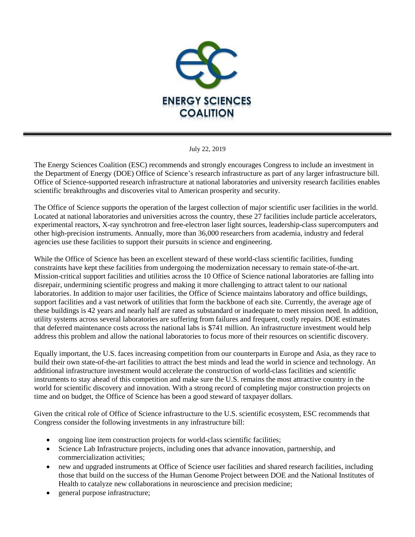

July 22, 2019

The Energy Sciences Coalition (ESC) recommends and strongly encourages Congress to include an investment in the Department of Energy (DOE) Office of Science's research infrastructure as part of any larger infrastructure bill. Office of Science-supported research infrastructure at national laboratories and university research facilities enables scientific breakthroughs and discoveries vital to American prosperity and security.

The Office of Science supports the operation of the largest collection of major scientific user facilities in the world. Located at national laboratories and universities across the country, these 27 facilities include particle accelerators, experimental reactors, X-ray synchrotron and free-electron laser light sources, leadership-class supercomputers and other high-precision instruments. Annually, more than 36,000 researchers from academia, industry and federal agencies use these facilities to support their pursuits in science and engineering.

While the Office of Science has been an excellent steward of these world-class scientific facilities, funding constraints have kept these facilities from undergoing the modernization necessary to remain state-of-the-art. Mission-critical support facilities and utilities across the 10 Office of Science national laboratories are falling into disrepair, undermining scientific progress and making it more challenging to attract talent to our national laboratories. In addition to major user facilities, the Office of Science maintains laboratory and office buildings, support facilities and a vast network of utilities that form the backbone of each site. Currently, the average age of these buildings is 42 years and nearly half are rated as substandard or inadequate to meet mission need. In addition, utility systems across several laboratories are suffering from failures and frequent, costly repairs. DOE estimates that deferred maintenance costs across the national labs is \$741 million. An infrastructure investment would help address this problem and allow the national laboratories to focus more of their resources on scientific discovery.

Equally important, the U.S. faces increasing competition from our counterparts in Europe and Asia, as they race to build their own state-of-the-art facilities to attract the best minds and lead the world in science and technology. An additional infrastructure investment would accelerate the construction of world-class facilities and scientific instruments to stay ahead of this competition and make sure the U.S. remains the most attractive country in the world for scientific discovery and innovation. With a strong record of completing major construction projects on time and on budget, the Office of Science has been a good steward of taxpayer dollars.

Given the critical role of Office of Science infrastructure to the U.S. scientific ecosystem, ESC recommends that Congress consider the following investments in any infrastructure bill:

- ongoing line item construction projects for world-class scientific facilities;
- Science Lab Infrastructure projects, including ones that advance innovation, partnership, and commercialization activities;
- new and upgraded instruments at Office of Science user facilities and shared research facilities, including those that build on the success of the Human Genome Project between DOE and the National Institutes of Health to catalyze new collaborations in neuroscience and precision medicine;
- general purpose infrastructure;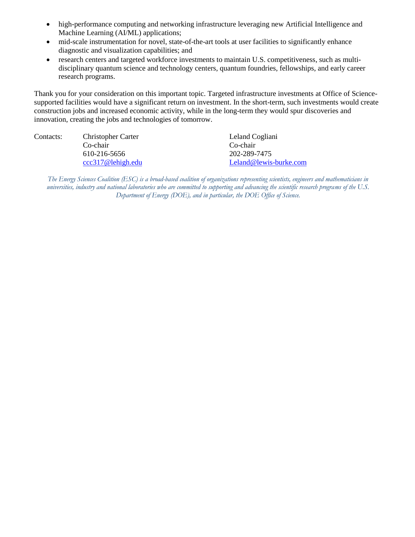- high-performance computing and networking infrastructure leveraging new Artificial Intelligence and Machine Learning (AI/ML) applications;
- mid-scale instrumentation for novel, state-of-the-art tools at user facilities to significantly enhance diagnostic and visualization capabilities; and
- research centers and targeted workforce investments to maintain U.S. competitiveness, such as multidisciplinary quantum science and technology centers, quantum foundries, fellowships, and early career research programs.

Thank you for your consideration on this important topic. Targeted infrastructure investments at Office of Sciencesupported facilities would have a significant return on investment. In the short-term, such investments would create construction jobs and increased economic activity, while in the long-term they would spur discoveries and innovation, creating the jobs and technologies of tomorrow.

| Contacts: | <b>Christopher Carter</b> | Leland Cogliani        |
|-----------|---------------------------|------------------------|
|           | Co-chair                  | Co-chair               |
|           | 610-216-5656              | 202-289-7475           |
|           | ccc317@lehigh.edu         | Leland@lewis-burke.com |
|           |                           |                        |

*The Energy Sciences Coalition (ESC) is a broad-based coalition of organizations representing scientists, engineers and mathematicians in universities, industry and national laboratories who are committed to supporting and advancing the scientific research programs of the U.S. Department of Energy (DOE), and in particular, the DOE Office of Science.*